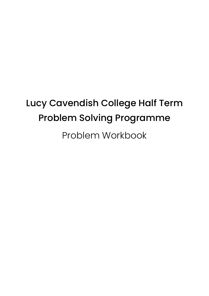# Lucy Cavendish College Half Term Problem Solving Programme

Problem Workbook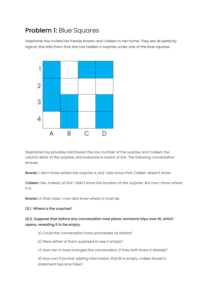### Problem 1: Blue Squares

Stephanie has invited her friends Rowan and Colleen to her home. They are all perfectly logical. She tells them that she has hidden a surprise under one of the blue squares.



Stephanie has privately told Rowan the row number of the surprise and Colleen the column letter of the surprise, and everyone is aware of this. The following conversation ensues.

Rowan: *I don't know where the surprise is, but I also know that Colleen doesn't know.*

Colleen: *Yes, indeed, at first I didn't know the location of the surprise. But now I know where it is.*

Rowan: *In that case, I now also know where it must be.*

Q1.1. Where is the surprise?

Q1.2. Suppose that before any conversation took place, someone trips over B1, which opens, revealing it to be empty.

- a) Could the conversation have proceeded as before?
- b) Were either of them surprised to see it empty?
- c) How can it have changed the conversation, if they both knew it already?

d) How can it be that adding information, that B1 is empty, makes Rowan's statement become false?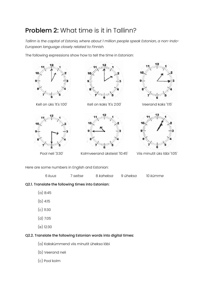### Problem 2: What time is it in Tallinn?

*Tallinn is the capital of Estonia, where about 1 million people speak Estonian, a non-Indo-European language closely related to Finnish.* 

The following expressions show how to tell the time in Estonian:



Here are some numbers in English and Estonian:



Q2.1. Translate the following times into Estonian:

- (a) 8:45
- $(b)$  4:15
- (c) 11:30
- (d) 7:05
- (e) 12:30

#### Q2.2. Translate the following Estonian words into digital times:

- (a) Kakskümmend viis minutit üheksa läbi
- (b) Veerand neli
- (c) Pool kolm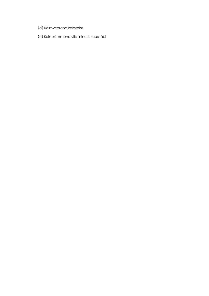- (d) Kolmveerand kaksteist
- (e) Kolmkümmend viis minutit kuus läbi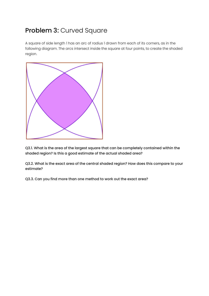### Problem 3: Curved Square

A square of side length 1 has an arc of radius 1 drawn from each of its corners, as in the following diagram. The arcs intersect inside the square at four points, to create the shaded region.



Q3.1. What is the area of the largest square that can be completely contained within the shaded region? Is this a good estimate of the actual shaded area?

Q3.2. What is the exact area of the central shaded region? How does this compare to your estimate?

Q3.3. Can you find more than one method to work out the exact area?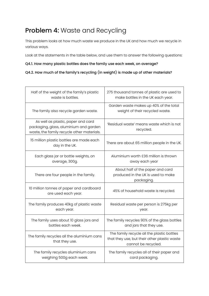## Problem 4: Waste and Recycling

This problem looks at how much waste we produce in the UK and how much we recycle in various ways.

Look at the statements in the table below, and use them to answer the following questions:

#### Q4.1. How many plastic bottles does the family use each week, on average?

### Q4.2. How much of the family's recycling (in weight) is made up of other materials?

| Half of the weight of the family's plastic<br>waste is bottles.                                                            | 275 thousand tonnes of plastic are used to<br>make bottles in the UK each year.                                   |
|----------------------------------------------------------------------------------------------------------------------------|-------------------------------------------------------------------------------------------------------------------|
| The family also recycle garden waste.                                                                                      | Garden waste makes up 40% of the total<br>weight of their recycled waste.                                         |
| As well as plastic, paper and card<br>packaging, glass, aluminium and garden<br>waste, the family recycle other materials. | 'Residual waste' means waste which is not<br>recycled.                                                            |
| 15 million plastic bottles are made each<br>day in the UK.                                                                 | There are about 65 million people in the UK.                                                                      |
| Each glass jar or bottle weights, on<br>average, 300g.                                                                     | Aluminium worth £36 million is thrown<br>away each year                                                           |
| There are four people in the family.                                                                                       | About half of the paper and card<br>produced in the UK is used to make<br>packaging.                              |
| 10 million tonnes of paper and cardboard<br>are used each year.                                                            | 45% of household waste is recycled.                                                                               |
| The family produces 40kg of plastic waste<br>each year.                                                                    | Residual waste per person is 275kg per<br>year.                                                                   |
| The family uses about 10 glass jars and<br>bottles each week.                                                              | The family recycles 90% of the glass bottles<br>and jars that they use.                                           |
| The family recycles all the aluminium cans<br>that they use.                                                               | The family recycle all the plastic bottles<br>that they use, but their other plastic waste<br>cannot be recycled. |
| The family recycles aluminium cans<br>weighing 500g each week.                                                             | The family recycles all of their paper and<br>card packaging.                                                     |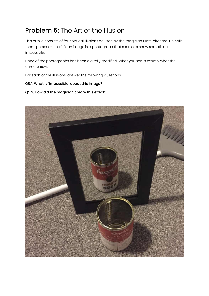### Problem 5: The Art of the Illusion

This puzzle consists of four optical illusions devised by the magician Matt Pritchard. He calls them 'perspec-tricks'. Each image is a photograph that seems to show something impossible.

None of the photographs has been digitally modified. What you see is exactly what the camera saw.

For each of the illusions, answer the following questions:

#### Q5.1. What is 'impossible' about this image?

#### Q5.2. How did the magician create this effect?

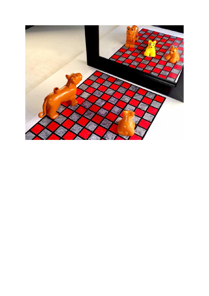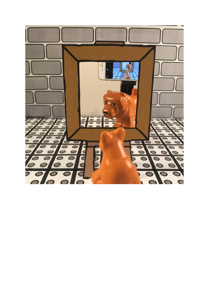